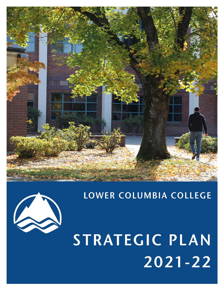

# LOWER COLUMBIA COLLEGE

STRATEGIC PLAN  $2021 - 22$ 

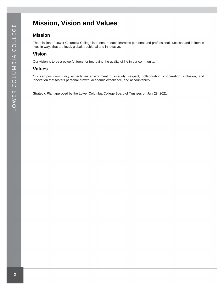## <span id="page-1-0"></span>**Mission, Vision and Values**

### **Mission**

The mission of Lower Columbia College is to ensure each learner's personal and professional success, and influence lives in ways that are local, global, traditional and innovative.

## **Vision**

Our vision is to be a powerful force for improving the quality of life in our community.

### **Values**

Our campus community expects an environment of integrity, respect, collaboration, cooperation, inclusion, and innovation that fosters personal growth, academic excellence, and accountability.

Strategic Plan approved by the Lower Columbia College Board of Trustees on July 28, 2021.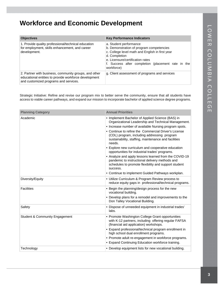## <span id="page-2-0"></span>**Workforce and Economic Development**

| <b>Objectives</b>                                                                                                                                       | <b>Key Performance Indicators</b>                                                                                                                                                                                                              |
|---------------------------------------------------------------------------------------------------------------------------------------------------------|------------------------------------------------------------------------------------------------------------------------------------------------------------------------------------------------------------------------------------------------|
| 1. Provide quality professional/technical education<br>for employment, skills enhancement, and career<br>development.                                   | a. Student performance<br>b. Demonstration of program competencies<br>c. College level math and English in first year<br>d. Completion<br>e. Licensure/certification rates<br>f. Success after completion (placement rate in the<br>workforce) |
| 2. Partner with business, community groups, and other<br>educational entities to provide workforce development<br>and customized programs and services. | g. Client assessment of programs and services                                                                                                                                                                                                  |

Strategic Initiative: Refine and revise our program mix to better serve the community, ensure that all students have access to viable career pathways, and expand our mission to incorporate bachelor of applied science degree programs.

| <b>Planning Category</b>                  | <b>Annual Priorities</b>                                                                                                                                                                                                                                                                                                                                                                                                                                                                                                                                                                                                                                                              |
|-------------------------------------------|---------------------------------------------------------------------------------------------------------------------------------------------------------------------------------------------------------------------------------------------------------------------------------------------------------------------------------------------------------------------------------------------------------------------------------------------------------------------------------------------------------------------------------------------------------------------------------------------------------------------------------------------------------------------------------------|
| Academic                                  | • Implement Bachelor of Applied Science (BAS) in<br>Organizational Leadership and Technical Management.<br>• Increase number of available Nursing program spots.<br>• Continue to refine the Commercial Driver's License<br>(CDL) program, including addressing program<br>sustainability, staffing, maintenance and facilities<br>needs.<br>• Explore new curriculum and cooperative education<br>opportunities for industrial trades' programs.<br>• Analyze and apply lessons learned from the COVID-19<br>pandemic to instructional delivery methods and<br>schedules to promote flexibility and support student<br>success.<br>• Continue to implement Guided Pathways workplan. |
| Diversity/Equity                          | • Utilize Curriculum & Program Review process to<br>reduce equity gaps in professional/technical programs.                                                                                                                                                                                                                                                                                                                                                                                                                                                                                                                                                                            |
| <b>Facilities</b>                         | • Begin the planning/design process for the new<br>vocational building.<br>• Develop plans for a remodel and improvements to the<br>Don Talley Vocational Building.                                                                                                                                                                                                                                                                                                                                                                                                                                                                                                                   |
| Safety                                    | • Dispose of unneeded equipment in industrial trades'<br>labs.                                                                                                                                                                                                                                                                                                                                                                                                                                                                                                                                                                                                                        |
| <b>Student &amp; Community Engagement</b> | • Promote Washington College Grant opportunities<br>with K-12 partners, including offering regular FAFSA<br>(financial aid application) workshops.<br>• Expand professional/technical program enrollment in<br>high school dual enrollment programs.<br>• Promote adult re-engagement in workforce programs.<br>• Expand Continuing Education workforce training.                                                                                                                                                                                                                                                                                                                     |
| Technology                                | • Develop equipment lists for new vocational building.                                                                                                                                                                                                                                                                                                                                                                                                                                                                                                                                                                                                                                |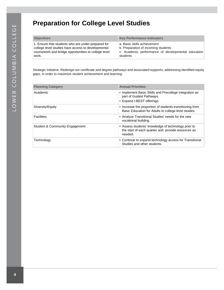## <span id="page-3-0"></span>**Preparation for College Level Studies**

| <b>Objectives</b>                                    | <b>Key Performance Indicators</b>                  |
|------------------------------------------------------|----------------------------------------------------|
| 1. Ensure that students who are under-prepared for   | a. Basic skills achievement                        |
| college level studies have access to developmental   | b. Preparation of incoming students                |
| coursework and bridge opportunities to college level | c. Academic performance of developmental education |
| work.                                                | students                                           |

Strategic Initiative: Redesign our certificate and degree pathways and associated supports, addressing identified equity gaps, in order to maximize student achievement and learning.

| <b>Planning Category</b>       | <b>Annual Priorities</b>                                                                                             |
|--------------------------------|----------------------------------------------------------------------------------------------------------------------|
| Academic                       | • Implement Basic Skills and Precollege integration as<br>part of Guided Pathways.<br>• Expand I-BEST offerings.     |
| Diversity/Equity               | • Increase the proportion of students transitioning from<br>Basic Education for Adults to college level studies.     |
| <b>Facilities</b>              | • Analyze Transitional Studies' needs for the new<br>vocational building.                                            |
| Student & Community Engagement | • Assess students' knowledge of technology prior to<br>the start of each quarter and provide resources as<br>needed. |
| Technology                     | • Continue to expand technology access for Transitional<br>Studies and other students.                               |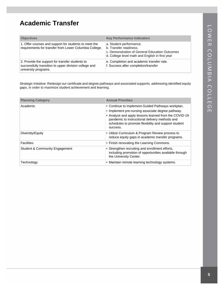## <span id="page-4-0"></span>**Academic Transfer**

| <b>Objectives</b>                                                                                                                | <b>Key Performance Indicators</b>                                                                                                                      |
|----------------------------------------------------------------------------------------------------------------------------------|--------------------------------------------------------------------------------------------------------------------------------------------------------|
| 1. Offer courses and support for students to meet the<br>requirements for transfer from Lower Columbia College.                  | a. Student performance.<br>b. Transfer readiness.<br>c. Demonstration of General Education Outcomes<br>d. College level math and English in first year |
| 2. Provide the support for transfer students to<br>successfully transition to upper division college and<br>university programs. | e. Completion and academic transfer rate.<br>f. Success after completion/transfer                                                                      |

Strategic Initiative: Redesign our certificate and degree pathways and associated supports, addressing identified equity gaps, in order to maximize student achievement and learning.

| <b>Planning Category</b>                  | <b>Annual Priorities</b>                                                                                                                                                                                                                                                              |
|-------------------------------------------|---------------------------------------------------------------------------------------------------------------------------------------------------------------------------------------------------------------------------------------------------------------------------------------|
| Academic                                  | • Continue to implement Guided Pathways workplan.<br>• Implement pre-nursing associate degree pathway.<br>• Analyze and apply lessons learned from the COVID-19<br>pandemic to instructional delivery methods and<br>schedules to promote flexibility and support student<br>success. |
| Diversity/Equity                          | • Utilize Curriculum & Program Review process to<br>reduce equity gaps in academic transfer programs.                                                                                                                                                                                 |
| <b>Facilities</b>                         | • Finish renovating the Learning Commons.                                                                                                                                                                                                                                             |
| <b>Student &amp; Community Engagement</b> | • Strengthen recruiting and enrollment efforts,<br>including promotion of opportunities available through<br>the University Center.                                                                                                                                                   |
| Technology                                | • Maintain remote learning technology systems.                                                                                                                                                                                                                                        |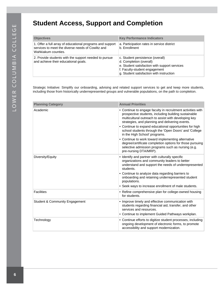## <span id="page-5-0"></span>**Student Access, Support and Completion**

| <b>Objectives</b>                                                                                                                     | <b>Key Performance Indicators</b>                                                                                                                                                         |
|---------------------------------------------------------------------------------------------------------------------------------------|-------------------------------------------------------------------------------------------------------------------------------------------------------------------------------------------|
| 1. Offer a full array of educational programs and support<br>services to meet the diverse needs of Cowlitz and<br>Wahkiakum counties. | a. Participation rates in service district<br>b. Enrollment                                                                                                                               |
| 2. Provide students with the support needed to pursue<br>and achieve their educational goals.                                         | c. Student persistence (overall)<br>d. Completion (overall)<br>e. Student satisfaction with support services<br>f. Faculty-student engagement<br>g. Student satisfaction with instruction |

Strategic Initiative: Simplify our onboarding, advising and related support services to get and keep more students, including those from historically underrepresented groups and vulnerable populations, on the path to completion.

| <b>Planning Category</b>                  | <b>Annual Priorities</b>                                                                                                                                                                                                                                                                                                                                                                                                                                                                                                                                                             |
|-------------------------------------------|--------------------------------------------------------------------------------------------------------------------------------------------------------------------------------------------------------------------------------------------------------------------------------------------------------------------------------------------------------------------------------------------------------------------------------------------------------------------------------------------------------------------------------------------------------------------------------------|
| Academic                                  | • Continue to engage faculty in recruitment activities with<br>prospective students, including building sustainable<br>multicultural outreach to assist with developing key<br>strategies, and planning and delivering events.<br>• Continue to expand educational opportunities for high<br>school students through the 'Open Doors' and 'College<br>in the High School' programs.<br>• Continue to work toward implementing alternative<br>degree/certificate completion options for those pursuing<br>selective admission programs such as nursing (e.g.<br>pre-nursing DTA/MRP). |
| Diversity/Equity                          | • Identify and partner with culturally specific<br>organizations and community leaders to better<br>understand and support the needs of underrepresented<br>students.<br>• Continue to analyze data regarding barriers to<br>onboarding and retaining underrepresented student<br>populations.<br>• Seek ways to increase enrollment of male students.                                                                                                                                                                                                                               |
| <b>Facilities</b>                         | • Refine comprehensive plan for college-owned housing<br>for students.                                                                                                                                                                                                                                                                                                                                                                                                                                                                                                               |
| <b>Student &amp; Community Engagement</b> | • Improve timely and effective communication with<br>students regarding financial aid, transfer, and other<br>services and resources.<br>• Continue to implement Guided Pathways workplan.                                                                                                                                                                                                                                                                                                                                                                                           |
| Technology                                | • Continue efforts to digitize student processes, including<br>ongoing development of electronic forms, to promote<br>accessibility and support modernization.                                                                                                                                                                                                                                                                                                                                                                                                                       |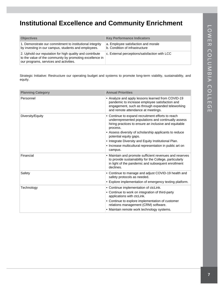## <span id="page-6-0"></span>**Institutional Excellence and Community Enrichment**

| <b>Objectives</b>                                                                                                                                              | <b>Key Performance Indicators</b>                                     |
|----------------------------------------------------------------------------------------------------------------------------------------------------------------|-----------------------------------------------------------------------|
| 1. Demonstrate our commitment to institutional integrity<br>by investing in our campus, students and employees.                                                | a. Employee satisfaction and morale<br>b. Condition of infrastructure |
| 2. Uphold our reputation for high quality and contribute<br>to the value of the community by promoting excellence in<br>our programs, services and activities. | c. External perceptions/satisfaction with LCC                         |

Strategic Initiative: Restructure our operating budget and systems to promote long-term viability, sustainability, and equity.

| <b>Planning Category</b> | <b>Annual Priorities</b>                                                                                                                                                                                                                                                                                                                                                                         |
|--------------------------|--------------------------------------------------------------------------------------------------------------------------------------------------------------------------------------------------------------------------------------------------------------------------------------------------------------------------------------------------------------------------------------------------|
| Personnel                | • Analyze and apply lessons learned from COVID-19<br>pandemic to increase employee satisfaction and<br>engagement, such as through expanded teleworking<br>and remote attendance at meetings.                                                                                                                                                                                                    |
| Diversity/Equity         | • Continue to expand recruitment efforts to reach<br>underrepresented populations and continually assess<br>hiring practices to ensure an inclusive and equitable<br>process.<br>• Assess diversity of scholarship applicants to reduce<br>potential equity gaps.<br>• Integrate Diversity and Equity Institutional Plan.<br>• Increase multicultural representation in public art on<br>campus. |
| Financial                | • Maintain and promote sufficient revenues and reserves<br>to provide sustainability for the College, particularly<br>in light of the pandemic and subsequent enrollment<br>declines.                                                                                                                                                                                                            |
| Safety                   | • Continue to manage and adjust COVID-19 health and<br>safety protocols as needed.<br>• Explore implementation of emergency texting platform.                                                                                                                                                                                                                                                    |
| Technology               | • Continue implementation of ctcLink.<br>• Continue to work on integration of third-party<br>applications with ctcLink.<br>• Continue to explore implementation of customer<br>relations management (CRM) software.<br>• Maintain remote work technology systems.                                                                                                                                |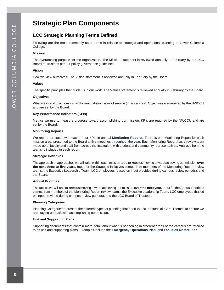## <span id="page-7-0"></span>**Strategic Plan Components**

## **LCC Strategic Planning Terms Defined**

Following are the most commonly used terms in relation to strategic and operational planning at Lower Columbia College.

#### **Mission**

The overarching purpose for the organization. The Mission statement is reviewed annually in February by the LCC Board of Trustees per our policy governance guidelines.

#### **Vision**

How we view ourselves. The Vision statement is reviewed annually in February by the Board.

#### **Values**

The specific principles that guide us in our work. The Values statement is reviewed annually in February by the Board.

#### **Objectives**

What we intend to accomplish within each distinct area of service (mission area). Objectives are required by the NWCCU and are set by the Board.

#### **Key Performance Indicators (KPIs)**

Metrics we use to measure progress toward accomplishing our mission. KPIs are required by the NWCCU and are set by the Board.

#### **Monitoring Reports**

We report our status with each of our KPIs in annual **[Monitoring Reports](https://lowercolumbia.edu/disclosure/institutional-effectiveness-monitoring.php)**. There is one Monitoring Report for each mission area, presented to the Board at five meetings throughout the year. Each Monitoring Report has a review team made up of faculty and staff from across the institution, with student and community representatives. Analysis from the teams is included in each report.

#### **Strategic Initiatives**

The approach or approaches we will take within each mission area to keep us moving toward achieving our mission **over the next three to five years.** Input for the Strategic Initiatives comes from members of the Monitoring Report review teams, the Executive Leadership Team, LCC employees (based on input provided during campus review periods), and the Board.

#### **Annual Priorities**

The tactics we will use to keep us moving toward achieving our mission **over the next year.** Input for the Annual Priorities comes from members of the Monitoring Report review teams, the Executive Leadership Team, LCC employees (based on input provided during campus review periods), and the LCC Board of Trustees.

#### **Planning Categories**

Planning Categories represent the different types of planning that need to occur across all Core Themes to ensure we are staying on track with accomplishing our mission.

#### **Unit and Supporting Plans**

Supporting documents that contain more detail about what is happening in different areas of the campus are referred to as unit and supporting plans. Examples include the **[Emergency Operations Plan](https://services4.lowercolumbia.edu/info/webresources/Institutional-Research/Emergency-Operations-Plan.pdf)**, and **[Facilities Master Plan](https://services4.lowercolumbia.edu/info/webResources2/BuildingsFacilities/MasterPlan/LCCMasterPlanFinal-03-27-2015.pdf)**.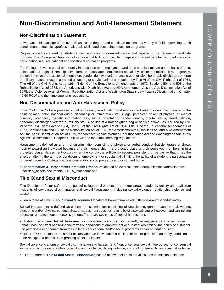## <span id="page-8-0"></span>**Non-Discrimination and Anti-Harassment Statement**

### **Non-Discrimination Statement**

Lower Columbia College offers over 70 associate degree and certificate options in a variety of fields, providing a rich complement of technical/professional, basic skills, and continuing education programs.

Degree or certificate seeking students must apply for program admission and register in the degree or certificate program. The College will take steps to ensure that lack of English language skills will not be a barrier to admission or participation in all educational and vocational education programs.

The College provides equal opportunity in education and employment and does not discriminate on the basis of race, color, national origin, citizenship or immigration status, age, perceived or actual physical or mental disability, pregnancy, genetic information, sex, sexual orientation, gender identity, marital status, creed, religion, honorably discharged veteran or military status, or use of a trained guide dog or service animal as required by Title VI of the Civil Rights Act of 1964, Title VII of the Civil Rights Act of 1964, Title IX of the Educational Amendments of 1972, Sections 504 and 508 of the Rehabilitation Act of 1973, the Americans with Disabilities Act and ADA Amendment Act, the Age Discrimination Act of 1975, the Violence Against Women Reauthorization Act and Washington State's Law Against Discrimination, Chapter 49.60 RCW and their implementing regulations.

### **Non-Discrimination and Anti-Harassment Policy**

Lower Columbia College provides equal opportunity in education and employment and does not discriminate on the basis of race, color, national origin, citizenship or immigration status, age, perceived or actual physical or mental disability, pregnancy, genetic information, sex, sexual orientation, gender identity, marital status, creed, religion, honorably discharged veteran or military status, or use of a trained guide dog or service animal, as required by Title VI of the Civil Rights Act of 1964, Title VII of the Civil Rights Act of 1964, Title IX of the Educational Amendments of 1972, Sections 504 and 508 of the Rehabilitation Act of 1973, the Americans with Disabilities Act and ADA Amendment Act, the Age Discrimination Act of 1975, the Violence Against Women Reauthorization Act and Washington State's Law Against Discrimination, Chapter 49.60 RCW and their implementing regulations.

Harassment is defined as a form of discrimination consisting of physical or verbal conduct that denigrates or shows hostility toward an individual because of their membership in a protected class or their perceived membership in a protected class. Harassment occurs when the conduct is sufficiently severe, persistent, or pervasive that it has the effect of altering the terms or conditions of employment or substantially limiting the ability of a student to participate in or benefit from the College's educational and/or social programs and/or student housing.

• **[Discrimination & Harassment Complaint Procedure](https://lowercolumbia.edu/publications/administrative-policies/_assets/documents/235.1A_Procedure.pdf)** located at lowercolumbia.edu/publications/administrativepolicies/\_assets/documents/235.1A\_Procedure.pdf

## **Title IX and Sexual Misconduct**

Title IX helps to foster safe and respectful college environments that better protect students, faculty and staff from incidents of sex-based discrimination and sexual harassment, including sexual violence, relationship violence and abuse.

• Learn more at **[Title IX and Sexual Misconduct](https://lowercolumbia.edu/titleix-sexual-misconduct/index.php)** located at lowercolumbia.edu/titleix-sexual-misconduct/index

Sexual Harassment is defined as a form of discrimination consisting of unwelcome, gender-based verbal, written, electronic and/or physical conduct. Sexual harassment does not have to be of a sexual nature, however, and can include offensive remarks about a person's gender. There are two types of sexual harassment.

- Hostile Environment Sexual Harassment occurs when the conduct is sufficiently severe, persistent, or pervasive that it has the effect of altering the terms or conditions of employment or substantially limiting the ability of a student to participate in or benefit from the College's educational and/or social programs and/or student housing.
- Quid Pro Quo Sexual Harassment occurs when an individual in a position of real or perceived authority, conditions the receipt of a benefit upon granting of sexual favors.

Sexual violence is a form of sexual discrimination and harassment. Nonconsensual sexual intercourse, nonconsensual sexual contact, incest, statutory rape, domestic violence, dating violence, and stalking are all types of sexual violence.

• • Learn more at **[Title IX and Sexual Misconduct](https://lowercolumbia.edu/titleix-sexual-misconduct/index.php)** located at lowercolumbia.edu/titleix-sexual-misconduct/index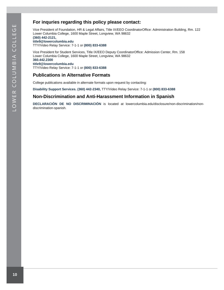## **For inquries regarding this policy please contact:**

Vice President of Foundation, HR & Legal Affairs, Title IX/EEO CoordinatorOffice: Administration Building, Rm. 122 Lower Columbia College, 1600 Maple Street, Longview, WA 98632

**[\(360\) 442-2121,](https://lowercolumbia.edu/publications/strategic-plan/tel:+13604422121)**

**[title9@lowercolumbia.edu](mailto:title9@lowercolumbia.edu?subject=Non%20Discrimination%2FAnti%20Harassment%20Policy%20Inquiry)** TTY/Video Relay Service: 7-1-1 or **[\(800\) 833-6388](https://lowercolumbia.edu/publications/strategic-plan/tel:+18008336388)**

Vice President for Student Services, Title IX/EEO Deputy CoordinatorOffice: Admission Center, Rm. 158 Lower Columbia College, 1600 Maple Street, Longview, WA 98632 **[360.442.2300](https://lowercolumbia.edu/publications/strategic-plan/tel:+13604422300) [title9@lowercolumbia.edu](mailto:title9@lowercolumbia.edu?subject=Non%20Discrimination%2FAnti%20Harassment%20Policy%20Inquiry)** TTY/Video Relay Service: 7-1-1 or **[\(800\) 833-6388](https://lowercolumbia.edu/publications/strategic-plan/tel:+18008336388)**

### **Publications in Alternative Formats**

College publications available in alternate formats upon request by contacting:

**[Disability Support Services.](https://lowercolumbia.edu/disability/index.php) [\(360\) 442-2340,](https://lowercolumbia.edu/publications/strategic-plan/tel:+13604422340)** TTY/Video Relay Service: 7-1-1 or **[\(800\) 833-6388](https://lowercolumbia.edu/publications/strategic-plan/tel:+18008336388)**

### **Non-Discrimination and Anti-Harassment Information in Spanish**

**[DECLARACIÓN DE NO DISCRIMINACIÓN](https://lowercolumbia.edu/disclosure/non-discrimination/non-discrimination-spanish.php)** is located at lowercolumbia.edu/disclosure/non-discrimination/nondiscrimination-spanish.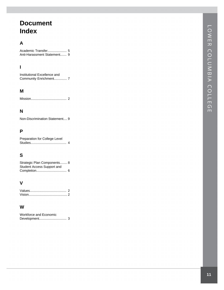## **Document Index**

## **A**

Academic Transfer....................... [5](#page-4-0) Anti-Harassment Statement . . . . . . . [9](#page-8-0)

## **I**

Institutional Excellence and Community Enrichment............... [7](#page-6-0)

### **M**

Mission . . . . . . . . . . . . . . . . . . . . . . . . . . . . . . . . . . . . . . . [2](#page-1-0)

## **N**

Non-Discrimination Statement . . . . [9](#page-8-0)

### **P**

| Preparation for College Level |  |
|-------------------------------|--|
|                               |  |

## **S**

| Strategic Plan Components 8 |  |
|-----------------------------|--|
| Student Access Support and  |  |
|                             |  |

## **V**

### **W**

| Workforce and Economic |  |
|------------------------|--|
|                        |  |